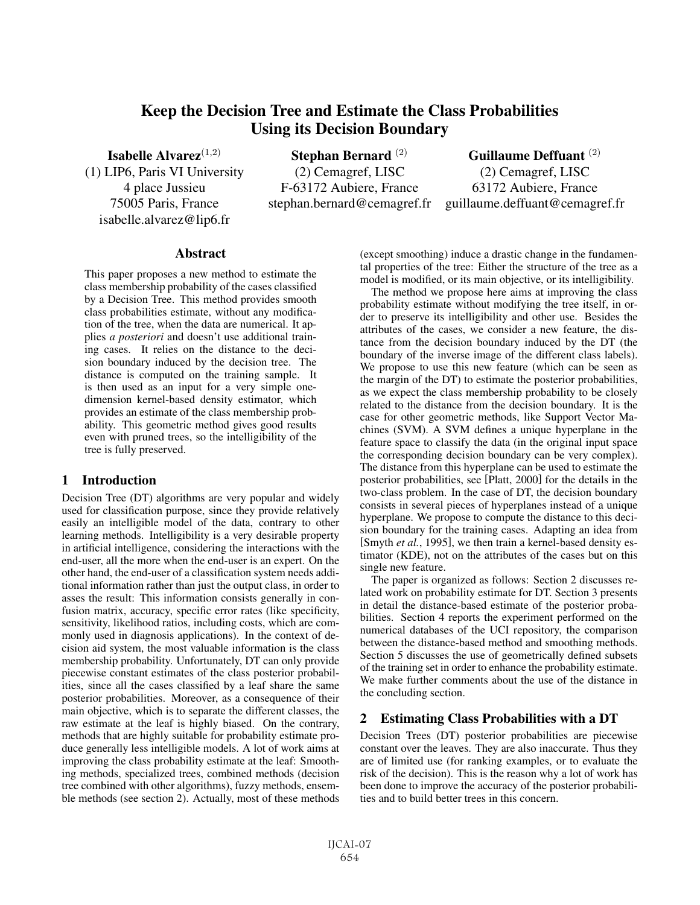# Keep the Decision Tree and Estimate the Class Probabilities Using its Decision Boundary

Isabelle Alvarez $(1,2)$ (1) LIP6, Paris VI University 4 place Jussieu 75005 Paris, France isabelle.alvarez@lip6.fr

Stephan Bernard (2) (2) Cemagref, LISC F-63172 Aubiere, France stephan.bernard@cemagref.fr

Guillaume Deffuant (2) (2) Cemagref, LISC 63172 Aubiere, France guillaume.deffuant@cemagref.fr

## Abstract

This paper proposes a new method to estimate the class membership probability of the cases classified by a Decision Tree. This method provides smooth class probabilities estimate, without any modification of the tree, when the data are numerical. It applies *a posteriori* and doesn't use additional training cases. It relies on the distance to the decision boundary induced by the decision tree. The distance is computed on the training sample. It is then used as an input for a very simple onedimension kernel-based density estimator, which provides an estimate of the class membership probability. This geometric method gives good results even with pruned trees, so the intelligibility of the tree is fully preserved.

# 1 Introduction

Decision Tree (DT) algorithms are very popular and widely used for classification purpose, since they provide relatively easily an intelligible model of the data, contrary to other learning methods. Intelligibility is a very desirable property in artificial intelligence, considering the interactions with the end-user, all the more when the end-user is an expert. On the other hand, the end-user of a classification system needs additional information rather than just the output class, in order to asses the result: This information consists generally in confusion matrix, accuracy, specific error rates (like specificity, sensitivity, likelihood ratios, including costs, which are commonly used in diagnosis applications). In the context of decision aid system, the most valuable information is the class membership probability. Unfortunately, DT can only provide piecewise constant estimates of the class posterior probabilities, since all the cases classified by a leaf share the same posterior probabilities. Moreover, as a consequence of their main objective, which is to separate the different classes, the raw estimate at the leaf is highly biased. On the contrary, methods that are highly suitable for probability estimate produce generally less intelligible models. A lot of work aims at improving the class probability estimate at the leaf: Smoothing methods, specialized trees, combined methods (decision tree combined with other algorithms), fuzzy methods, ensemble methods (see section 2). Actually, most of these methods (except smoothing) induce a drastic change in the fundamental properties of the tree: Either the structure of the tree as a model is modified, or its main objective, or its intelligibility.

The method we propose here aims at improving the class probability estimate without modifying the tree itself, in order to preserve its intelligibility and other use. Besides the attributes of the cases, we consider a new feature, the distance from the decision boundary induced by the DT (the boundary of the inverse image of the different class labels). We propose to use this new feature (which can be seen as the margin of the DT) to estimate the posterior probabilities, as we expect the class membership probability to be closely related to the distance from the decision boundary. It is the case for other geometric methods, like Support Vector Machines (SVM). A SVM defines a unique hyperplane in the feature space to classify the data (in the original input space the corresponding decision boundary can be very complex). The distance from this hyperplane can be used to estimate the posterior probabilities, see [Platt, 2000] for the details in the two-class problem. In the case of DT, the decision boundary consists in several pieces of hyperplanes instead of a unique hyperplane. We propose to compute the distance to this decision boundary for the training cases. Adapting an idea from [Smyth *et al.*, 1995], we then train a kernel-based density estimator (KDE), not on the attributes of the cases but on this single new feature.

The paper is organized as follows: Section 2 discusses related work on probability estimate for DT. Section 3 presents in detail the distance-based estimate of the posterior probabilities. Section 4 reports the experiment performed on the numerical databases of the UCI repository, the comparison between the distance-based method and smoothing methods. Section 5 discusses the use of geometrically defined subsets of the training set in order to enhance the probability estimate. We make further comments about the use of the distance in the concluding section.

# 2 Estimating Class Probabilities with a DT

Decision Trees (DT) posterior probabilities are piecewise constant over the leaves. They are also inaccurate. Thus they are of limited use (for ranking examples, or to evaluate the risk of the decision). This is the reason why a lot of work has been done to improve the accuracy of the posterior probabilities and to build better trees in this concern.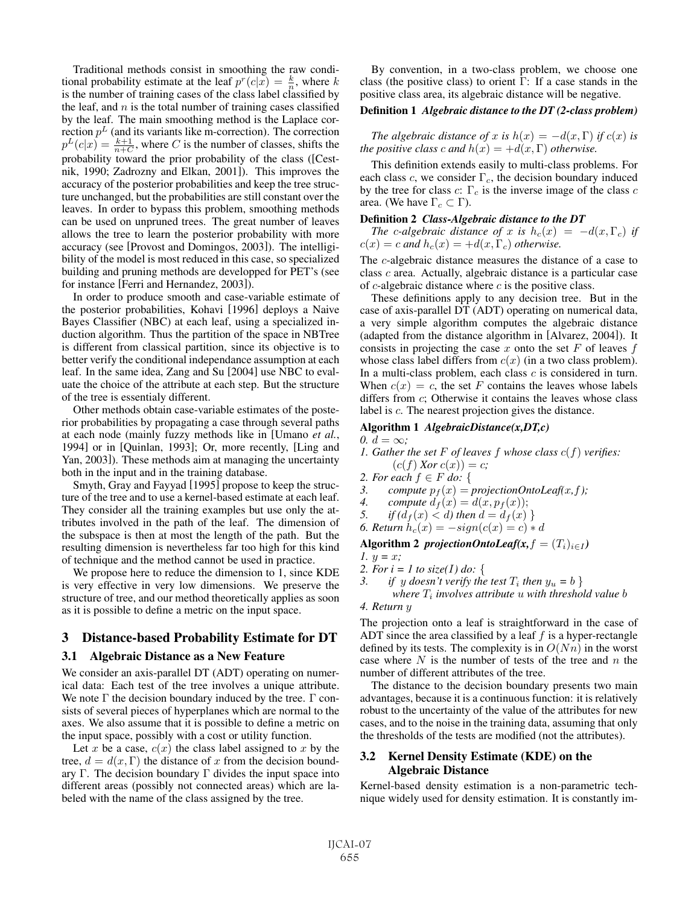Traditional methods consist in smoothing the raw conditional probability estimate at the leaf  $p^r(c|x) = \frac{k}{n}$ , where k is the number of training cases of the class label classified by is the number of training cases of the class label classified by the leaf, and  $n$  is the total number of training cases classified by the leaf. The main smoothing method is the Laplace correction  $p<sup>L</sup>$  (and its variants like m-correction). The correction  $p^L(c|x) = \frac{k+1}{n+C}$ , where C is the number of classes, shifts the probability of the class (Cest probability toward the prior probability of the class ([Cestnik, 1990; Zadrozny and Elkan, 2001]). This improves the accuracy of the posterior probabilities and keep the tree structure unchanged, but the probabilities are still constant over the leaves. In order to bypass this problem, smoothing methods can be used on unpruned trees. The great number of leaves allows the tree to learn the posterior probability with more accuracy (see [Provost and Domingos, 2003]). The intelligibility of the model is most reduced in this case, so specialized building and pruning methods are developped for PET's (see for instance [Ferri and Hernandez, 2003]).

In order to produce smooth and case-variable estimate of the posterior probabilities, Kohavi [1996] deploys a Naive Bayes Classifier (NBC) at each leaf, using a specialized induction algorithm. Thus the partition of the space in NBTree is different from classical partition, since its objective is to better verify the conditional independance assumption at each leaf. In the same idea, Zang and Su [2004] use NBC to evaluate the choice of the attribute at each step. But the structure of the tree is essentialy different.

Other methods obtain case-variable estimates of the posterior probabilities by propagating a case through several paths at each node (mainly fuzzy methods like in [Umano *et al.*, 1994] or in [Quinlan, 1993]; Or, more recently, [Ling and Yan, 2003]). These methods aim at managing the uncertainty both in the input and in the training database.

Smyth, Gray and Fayyad [1995] propose to keep the structure of the tree and to use a kernel-based estimate at each leaf. They consider all the training examples but use only the attributes involved in the path of the leaf. The dimension of the subspace is then at most the length of the path. But the resulting dimension is nevertheless far too high for this kind of technique and the method cannot be used in practice.

We propose here to reduce the dimension to 1, since KDE is very effective in very low dimensions. We preserve the structure of tree, and our method theoretically applies as soon as it is possible to define a metric on the input space.

# 3 Distance-based Probability Estimate for DT

## 3.1 Algebraic Distance as a New Feature

We consider an axis-parallel DT (ADT) operating on numerical data: Each test of the tree involves a unique attribute. We note  $\Gamma$  the decision boundary induced by the tree.  $\Gamma$  consists of several pieces of hyperplanes which are normal to the axes. We also assume that it is possible to define a metric on the input space, possibly with a cost or utility function.

Let x be a case,  $c(x)$  the class label assigned to x by the tree,  $d = d(x, \Gamma)$  the distance of x from the decision boundary Γ. The decision boundary Γ divides the input space into different areas (possibly not connected areas) which are labeled with the name of the class assigned by the tree.

By convention, in a two-class problem, we choose one class (the positive class) to orient  $\Gamma$ : If a case stands in the positive class area, its algebraic distance will be negative.

### Definition 1 *Algebraic distance to the DT (2-class problem)*

*The algebraic distance of* x *is*  $h(x) = -d(x, \Gamma)$  *if*  $c(x)$  *is the positive class c and*  $h(x) = +d(x, \Gamma)$  *otherwise.* 

This definition extends easily to multi-class problems. For each class c, we consider  $\Gamma_c$ , the decision boundary induced by the tree for class c:  $\Gamma_c$  is the inverse image of the class c area. (We have  $\Gamma_c \subset \Gamma$ ).

### Definition 2 *Class-Algebraic distance to the DT*

*The* c-algebraic distance of x is  $h_c(x) = -d(x, \Gamma_c)$  if  $c(x) = c$  *and*  $h_c(x) = +d(x, \Gamma_c)$  *otherwise.* 

The c-algebraic distance measures the distance of a case to class c area. Actually, algebraic distance is a particular case of  $c$ -algebraic distance where  $c$  is the positive class.

These definitions apply to any decision tree. But in the case of axis-parallel DT (ADT) operating on numerical data, a very simple algorithm computes the algebraic distance (adapted from the distance algorithm in [Alvarez, 2004]). It consists in projecting the case x onto the set F of leaves  $f$ whose class label differs from  $c(x)$  (in a two class problem). In a multi-class problem, each class c is considered in turn. When  $c(x) = c$ , the set F contains the leaves whose labels differs from c; Otherwise it contains the leaves whose class label is c. The nearest projection gives the distance.

## Algorithm 1 *AlgebraicDistance(x,DT,c)*

 $0. d = \infty$ ;

- *1. Gather the set* F *of leaves* f *whose class* c(f) *verifies:*  $(c(f) Xor c(x)) = c;$
- *2. For each f* ∈ *F do:* {
- 3. compute  $p_f(x) = projectionOntoLeaf(x, f)$ ;<br>4. compute  $d_f(x) = d(x, p_f(x))$ ;
- 4. compute  $d_f(x) = d(x, p_f(x));$ <br>5. if  $(d_f(x) < d)$  then  $d = d_f(x)$
- *if*  $(d_f(x) < d)$  then  $d = d_f(x)$  }
- *6. Return*  $h_c(x) = -sign(c(x)) = c$  *∗ d*

Algorithm 2 *projectionOntoLeaf(x, f* =  $(T_i)_{i \in I}$ ) *1.*  $y = x$ ;

- *2. For i = 1 to size(I) do:* {
- *3. if* y doesn't verify the test  $T_i$  then  $y_u = b$  }
	- *where*  $T_i$  *involves attribute* u *with threshold value b*

*4. Return* y

The projection onto a leaf is straightforward in the case of ADT since the area classified by a leaf  $f$  is a hyper-rectangle defined by its tests. The complexity is in  $O(Nn)$  in the worst case where  $N$  is the number of tests of the tree and  $n$  the number of different attributes of the tree.

The distance to the decision boundary presents two main advantages, because it is a continuous function: it is relatively robust to the uncertainty of the value of the attributes for new cases, and to the noise in the training data, assuming that only the thresholds of the tests are modified (not the attributes).

# 3.2 Kernel Density Estimate (KDE) on the Algebraic Distance

Kernel-based density estimation is a non-parametric technique widely used for density estimation. It is constantly im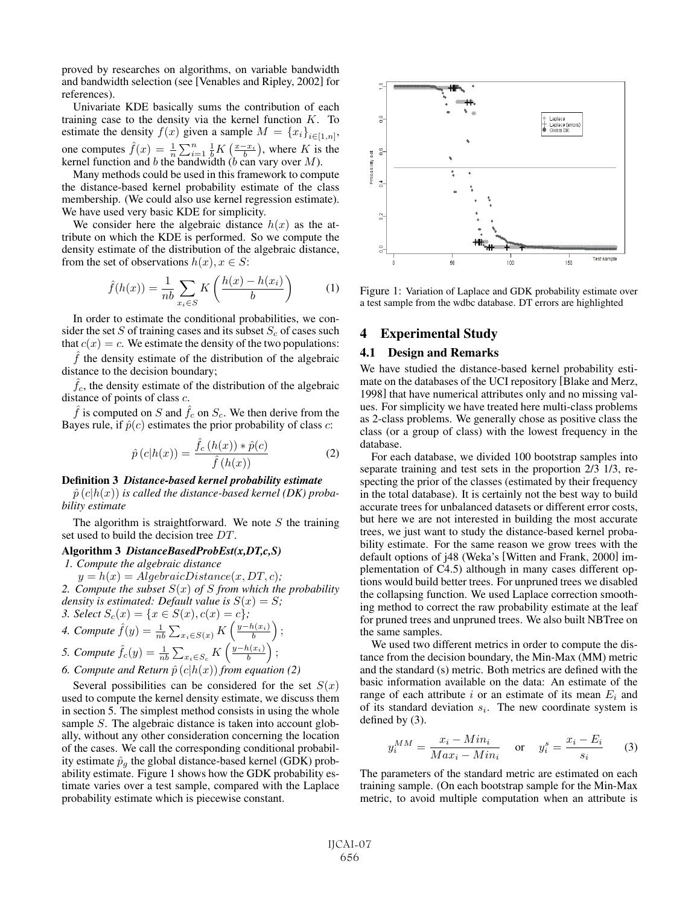proved by researches on algorithms, on variable bandwidth and bandwidth selection (see [Venables and Ripley, 2002] for references).

Univariate KDE basically sums the contribution of each training case to the density via the kernel function  $K$ . To estimate the density  $f(x)$  given a sample  $M = \{x_i\}_{i \in [1,n]},$ one computes  $\hat{f}(x) = \frac{1}{n} \sum_{i=1}^{n} \frac{1}{b} K\left(\frac{x-x_i}{b}\right)$ , where K is the kernel function and b the bandwidth (b can vary over M). bic computes  $f(x) = \frac{1}{n} \sum_{i=1}^{n} \frac{1}{b} \Lambda \left(\frac{b}{b}\right)$ , where  $\Lambda$  is<br>kernel function and b the bandwidth (b can vary over M).

Many methods could be used in this framework to compute the distance-based kernel probability estimate of the class membership. (We could also use kernel regression estimate). We have used very basic KDE for simplicity.

We consider here the algebraic distance  $h(x)$  as the attribute on which the KDE is performed. So we compute the density estimate of the distribution of the algebraic distance, from the set of observations  $h(x), x \in S$ :

$$
\hat{f}(h(x)) = \frac{1}{nb} \sum_{x_i \in S} K\left(\frac{h(x) - h(x_i)}{b}\right) \tag{1}
$$

In order to estimate the conditional probabilities, we consider the set S of training cases and its subset  $S_c$  of cases such that  $c(x) = c$ . We estimate the density of the two populations:

 $f$  the density estimate of the distribution of the algebraic distance to the decision boundary;

 $f<sub>c</sub>$ , the density estimate of the distribution of the algebraic distance of points of class c.

 $\hat{f}$  is computed on S and  $\hat{f}_c$  on  $S_c$ . We then derive from the Bayes rule, if  $\hat{p}(c)$  estimates the prior probability of class c:

$$
\hat{p}\left(c|h(x)\right) = \frac{\hat{f}_c\left(h(x)\right) * \hat{p}(c)}{\hat{f}\left(h(x)\right)}\tag{2}
$$

#### Definition 3 *Distance-based kernel probability estimate*

 $\hat{p}(c|h(x))$  *is called the distance-based kernel (DK) probability estimate*

The algorithm is straightforward. We note  $S$  the training set used to build the decision tree DT.

### Algorithm 3 *DistanceBasedProbEst(x,DT,c,S)*

*1. Compute the algebraic distance*

 $y = h(x) = AlgebraicDistance(x, DT, c);$ 

*2. Compute the subset* S(x) *of* S *from which the probability density is estimated: Default value is*  $S(x) = S$ ;

3. Select 
$$
S_c(x) = \{x \in S(x), c(x) = c\};
$$

4. Compute 
$$
\hat{f}(y) = \frac{1}{nb} \sum_{x_i \in S(x)} K\left(\frac{y - h(x_i)}{b}\right);
$$

5. Compute 
$$
\hat{f}_c(y) = \frac{1}{nb} \sum_{x_i \in S_c} K\left(\frac{y - h(x_i)}{b}\right);
$$
  
6. Compute and Return  $\hat{p}(c|h(x))$  from equation (2)

Several possibilities can be considered for the set  $S(x)$ used to compute the kernel density estimate, we discuss them in section 5. The simplest method consists in using the whole sample S. The algebraic distance is taken into account globally, without any other consideration concerning the location of the cases. We call the corresponding conditional probability estimate  $\hat{p}_q$  the global distance-based kernel (GDK) probability estimate. Figure 1 shows how the GDK probability estimate varies over a test sample, compared with the Laplace probability estimate which is piecewise constant.



Figure 1: Variation of Laplace and GDK probability estimate over a test sample from the wdbc database. DT errors are highlighted

# 4 Experimental Study

### 4.1 Design and Remarks

We have studied the distance-based kernel probability estimate on the databases of the UCI repository [Blake and Merz, 1998] that have numerical attributes only and no missing values. For simplicity we have treated here multi-class problems as 2-class problems. We generally chose as positive class the class (or a group of class) with the lowest frequency in the database.

For each database, we divided 100 bootstrap samples into separate training and test sets in the proportion 2/3 1/3, respecting the prior of the classes (estimated by their frequency in the total database). It is certainly not the best way to build accurate trees for unbalanced datasets or different error costs, but here we are not interested in building the most accurate trees, we just want to study the distance-based kernel probability estimate. For the same reason we grow trees with the default options of j48 (Weka's [Witten and Frank, 2000] implementation of C4.5) although in many cases different options would build better trees. For unpruned trees we disabled the collapsing function. We used Laplace correction smoothing method to correct the raw probability estimate at the leaf for pruned trees and unpruned trees. We also built NBTree on the same samples.

We used two different metrics in order to compute the distance from the decision boundary, the Min-Max (MM) metric and the standard (s) metric. Both metrics are defined with the basic information available on the data: An estimate of the range of each attribute i or an estimate of its mean  $E_i$  and of its standard deviation  $s_i$ . The new coordinate system is defined by (3).

$$
J_i^{MM} = \frac{x_i - Min_i}{Max_i - Min_i} \quad \text{or} \quad y_i^s = \frac{x_i - E_i}{s_i} \tag{3}
$$

The parameters of the standard metric are estimated on each training sample. (On each bootstrap sample for the Min-Max metric, to avoid multiple computation when an attribute is

 $\mathfrak{L}$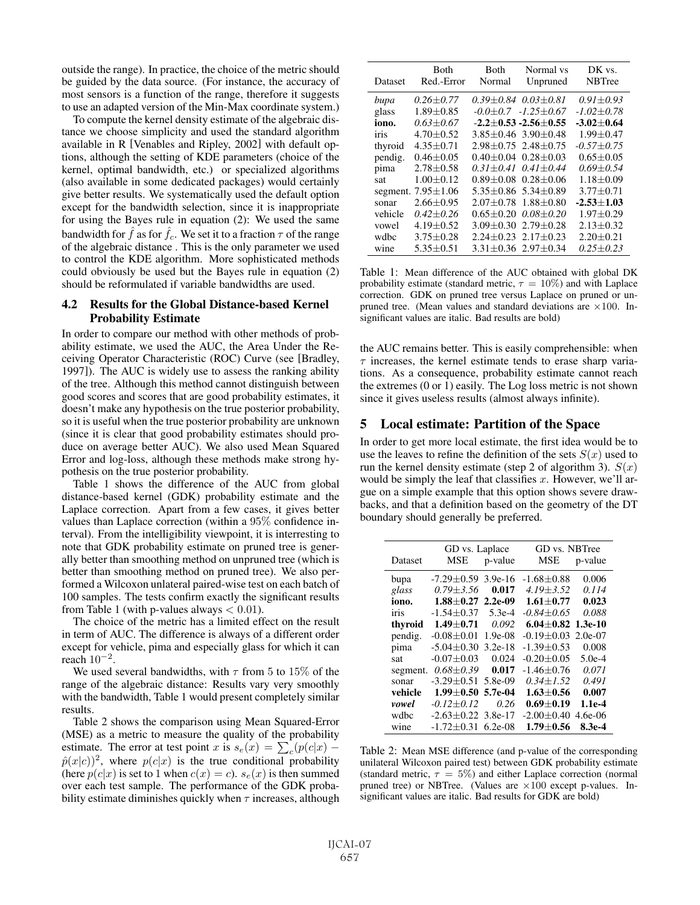outside the range). In practice, the choice of the metric should be guided by the data source. (For instance, the accuracy of most sensors is a function of the range, therefore it suggests to use an adapted version of the Min-Max coordinate system.)

To compute the kernel density estimate of the algebraic distance we choose simplicity and used the standard algorithm available in R [Venables and Ripley, 2002] with default options, although the setting of KDE parameters (choice of the kernel, optimal bandwidth, etc.) or specialized algorithms (also available in some dedicated packages) would certainly give better results. We systematically used the default option except for the bandwidth selection, since it is inappropriate for using the Bayes rule in equation (2): We used the same bandwidth for  $\hat{f}$  as for  $\hat{f}_c$ . We set it to a fraction  $\tau$  of the range of the algebraic distance . This is the only parameter we used to control the KDE algorithm. More sophisticated methods could obviously be used but the Bayes rule in equation (2) should be reformulated if variable bandwidths are used.

# 4.2 Results for the Global Distance-based Kernel Probability Estimate

In order to compare our method with other methods of probability estimate, we used the AUC, the Area Under the Receiving Operator Characteristic (ROC) Curve (see [Bradley, 1997]). The AUC is widely use to assess the ranking ability of the tree. Although this method cannot distinguish between good scores and scores that are good probability estimates, it doesn't make any hypothesis on the true posterior probability, so it is useful when the true posterior probability are unknown (since it is clear that good probability estimates should produce on average better AUC). We also used Mean Squared Error and log-loss, although these methods make strong hypothesis on the true posterior probability.

Table 1 shows the difference of the AUC from global distance-based kernel (GDK) probability estimate and the Laplace correction. Apart from a few cases, it gives better values than Laplace correction (within a 95% confidence interval). From the intelligibility viewpoint, it is interresting to note that GDK probability estimate on pruned tree is generally better than smoothing method on unpruned tree (which is better than smoothing method on pruned tree). We also performed a Wilcoxon unlateral paired-wise test on each batch of 100 samples. The tests confirm exactly the significant results from Table 1 (with p-values always  $< 0.01$ ).

The choice of the metric has a limited effect on the result in term of AUC. The difference is always of a different order except for vehicle, pima and especially glass for which it can reach  $10^{-2}$ .

We used several bandwidths, with  $\tau$  from 5 to 15% of the range of the algebraic distance: Results vary very smoothly with the bandwidth, Table 1 would present completely similar results.

Table 2 shows the comparison using Mean Squared-Error (MSE) as a metric to measure the quality of the probability estimate. The error at test point x is  $s_e(x) = \sum_c (p(c|x) - \hat{p}(x|c))^2$  where  $p(c|x)$  is the true conditional probability  $\hat{p}(x|c)^2$ , where  $p(c|x)$  is the true conditional probability (here  $p(c|x)$  is set to 1 when  $c(x) = c$ ).  $s_e(x)$  is then summed over each test sample. The performance of the GDK probability estimate diminishes quickly when  $\tau$  increases, although

| Dataset | Both<br>Red.-Error | <b>Both</b><br>Normal | Normal vs<br>Unpruned           | DK vs.<br><b>NBTree</b> |
|---------|--------------------|-----------------------|---------------------------------|-------------------------|
| bupa    | $0.26 + 0.77$      |                       | $0.39 + 0.84$ $0.03 + 0.81$     | $0.91 + 0.93$           |
| glass   | $1.89 + 0.85$      |                       | $-0.0+0.7$ $-1.25+0.67$         | $-1.02 + 0.78$          |
| iono.   | $0.63 + 0.67$      |                       | $-2.2+0.53 -2.56+0.55$          | $-3.02 \pm 0.64$        |
| iris    | $4.70 \pm 0.52$    |                       | $3.85 \pm 0.46$ 3.90 $\pm$ 0.48 | $1.99 \pm 0.47$         |
| thyroid | $4.35 + 0.71$      |                       | $2.98 \pm 0.75$ 2.48 $\pm$ 0.75 | $-0.57 \pm 0.75$        |
| pendig. | $0.46 + 0.05$      |                       | $0.40 + 0.04$ $0.28 + 0.03$     | $0.65 + 0.05$           |
| pima    | $2.78 + 0.58$      | $0.31 + 0.41$         | $0.41 + 0.44$                   | $0.69 + 0.54$           |
| sat     | $1.00 + 0.12$      | $0.89 + 0.08$         | $0.28 + 0.06$                   | $1.18 + 0.09$           |
|         | segment. 7.95±1.06 | $5.35 + 0.86$         | $5.34 + 0.89$                   | $3.77 + 0.71$           |
| sonar   | $2.66 \pm 0.95$    | $2.07 + 0.78$         | $1.88 + 0.80$                   | $-2.53 + 1.03$          |
| vehicle | $0.42 + 0.26$      | $0.65 \pm 0.20$       | $0.08 + 0.20$                   | $1.97 \pm 0.29$         |
| vowel   | $4.19 \pm 0.52$    | $3.09 \pm 0.30$       | $2.79 + 0.28$                   | $2.13 \pm 0.32$         |
| wdbc    | $3.75 \pm 0.28$    | $2.24 \pm 0.23$       | $2.17 + 0.23$                   | $2.20 \pm 0.21$         |
| wine    | $5.35 \pm 0.51$    |                       | $3.31 \pm 0.36$ $2.97 \pm 0.34$ | $0.25 + 0.23$           |

Table 1: Mean difference of the AUC obtained with global DK probability estimate (standard metric,  $\tau = 10\%$ ) and with Laplace correction. GDK on pruned tree versus Laplace on pruned or unpruned tree. (Mean values and standard deviations are  $\times 100$ . Insignificant values are italic. Bad results are bold)

the AUC remains better. This is easily comprehensible: when  $\tau$  increases, the kernel estimate tends to erase sharp variations. As a consequence, probability estimate cannot reach the extremes (0 or 1) easily. The Log loss metric is not shown since it gives useless results (almost always infinite).

# 5 Local estimate: Partition of the Space

In order to get more local estimate, the first idea would be to use the leaves to refine the definition of the sets  $S(x)$  used to run the kernel density estimate (step 2 of algorithm 3).  $S(x)$ would be simply the leaf that classifies  $x$ . However, we'll argue on a simple example that this option shows severe drawbacks, and that a definition based on the geometry of the DT boundary should generally be preferred.

|          | GD vs. Laplace           |           | GD vs. NBTree         |           |
|----------|--------------------------|-----------|-----------------------|-----------|
| Dataset  | MSE                      | p-value   | MSE                   | p-value   |
| bupa     | $-7.29 + 0.59$ 3.9e-16   |           | $-1.68 + 0.88$        | 0.006     |
| glass    | $0.79 + 3.56$            | 0.017     | $4.19 + 3.52$         | 0.114     |
| iono.    | $1.88 + 0.27$            | $2.2e-09$ | $1.61 + 0.77$         | 0.023     |
| iris     | $-1.54 + 0.37$           | $5.3e-4$  | $-0.84 + 0.65$        | 0.088     |
| thyroid  | $1.49 + 0.71$            | 0.092     | $6.04 + 0.82$ 1.3e-10 |           |
| pendig.  | $-0.08 + 0.01$           | $1.9e-08$ | $-0.19 \pm 0.03$      | $2.0e-07$ |
| pima     | $-5.04 + 0.30$           | $3.2e-18$ | $-1.39 \pm 0.53$      | 0.008     |
| sat      | $-0.07 + 0.03$           | 0.024     | $-0.20 + 0.05$        | $5.0e-4$  |
| segment. | $0.68 \pm 0.39$          | 0.017     | $-1.46 + 0.76$        | 0.071     |
| sonar    | $-3.29 + 0.51$           | 5.8e-09   | $0.34 + 1.52$         | 0.491     |
| vehicle  | $1.99 + 0.50$            | 5.7e-04   | $1.63 + 0.56$         | 0.007     |
| vowel    | $-0.12 \pm 0.12$         | 0.26      | $0.69 + 0.19$         | 1.1e-4    |
| wdbc     | $-2.63 \pm 0.22$ 3.8e-17 |           | $-2.00 \pm 0.40$      | $4.6e-06$ |
| wine     | $-1.72 \pm 0.31$ 6.2e-08 |           | $1.79 + 0.56$         | 8.3e-4    |

Table 2: Mean MSE difference (and p-value of the corresponding unilateral Wilcoxon paired test) between GDK probability estimate (standard metric,  $\tau = 5\%$ ) and either Laplace correction (normal pruned tree) or NBTree. (Values are ×100 except p-values. Insignificant values are italic. Bad results for GDK are bold)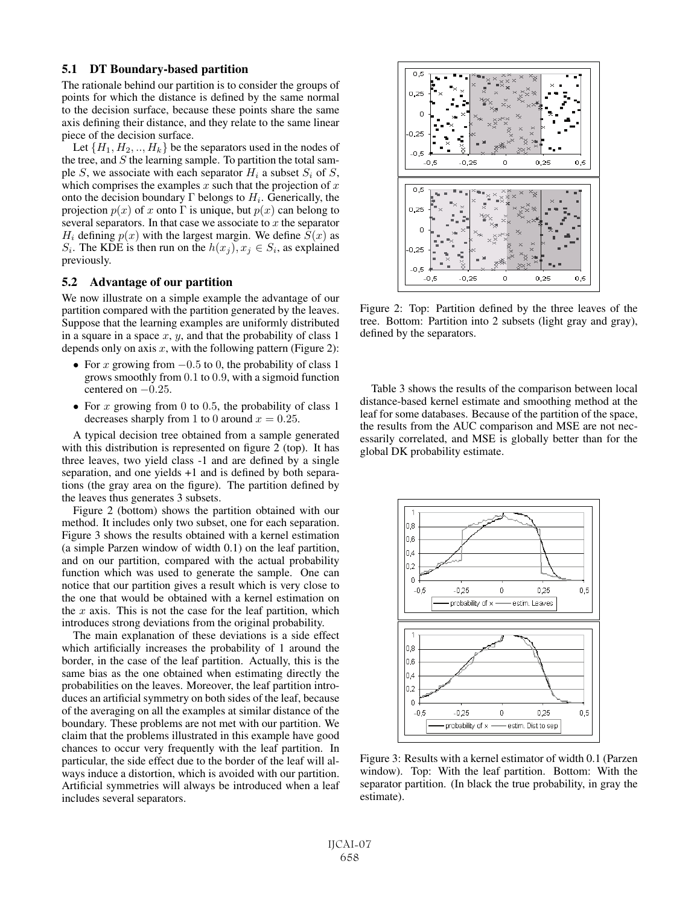# 5.1 DT Boundary-based partition

The rationale behind our partition is to consider the groups of points for which the distance is defined by the same normal to the decision surface, because these points share the same axis defining their distance, and they relate to the same linear piece of the decision surface.

Let  $\{H_1, H_2, \ldots, H_k\}$  be the separators used in the nodes of the tree, and  $S$  the learning sample. To partition the total sample S, we associate with each separator  $H_i$  a subset  $S_i$  of S, which comprises the examples  $x$  such that the projection of  $x$ onto the decision boundary  $\Gamma$  belongs to  $H_i$ . Generically, the projection  $p(x)$  of x onto Γ is unique, but  $p(x)$  can belong to several separators. In that case we associate to  $x$  the separator  $H_i$  defining  $p(x)$  with the largest margin. We define  $S(x)$  as  $S_i$ . The KDE is then run on the  $h(x_i), x_i \in S_i$ , as explained previously.

# 5.2 Advantage of our partition

We now illustrate on a simple example the advantage of our partition compared with the partition generated by the leaves. Suppose that the learning examples are uniformly distributed in a square in a space  $x, y$ , and that the probability of class 1 depends only on axis  $x$ , with the following pattern (Figure 2):

- For x growing from  $-0.5$  to 0, the probability of class 1 grows smoothly from 0.1 to 0.9, with a sigmoid function centered on  $-0.25$ .
- For x growing from 0 to 0.5, the probability of class 1 decreases sharply from 1 to 0 around  $x = 0.25$ .

A typical decision tree obtained from a sample generated with this distribution is represented on figure 2 (top). It has three leaves, two yield class -1 and are defined by a single separation, and one yields +1 and is defined by both separations (the gray area on the figure). The partition defined by the leaves thus generates 3 subsets.

Figure 2 (bottom) shows the partition obtained with our method. It includes only two subset, one for each separation. Figure 3 shows the results obtained with a kernel estimation (a simple Parzen window of width 0.1) on the leaf partition, and on our partition, compared with the actual probability function which was used to generate the sample. One can notice that our partition gives a result which is very close to the one that would be obtained with a kernel estimation on the  $x$  axis. This is not the case for the leaf partition, which introduces strong deviations from the original probability.

The main explanation of these deviations is a side effect which artificially increases the probability of 1 around the border, in the case of the leaf partition. Actually, this is the same bias as the one obtained when estimating directly the probabilities on the leaves. Moreover, the leaf partition introduces an artificial symmetry on both sides of the leaf, because of the averaging on all the examples at similar distance of the boundary. These problems are not met with our partition. We claim that the problems illustrated in this example have good chances to occur very frequently with the leaf partition. In particular, the side effect due to the border of the leaf will always induce a distortion, which is avoided with our partition. Artificial symmetries will always be introduced when a leaf includes several separators.



Figure 2: Top: Partition defined by the three leaves of the tree. Bottom: Partition into 2 subsets (light gray and gray), defined by the separators.

Table 3 shows the results of the comparison between local distance-based kernel estimate and smoothing method at the leaf for some databases. Because of the partition of the space, the results from the AUC comparison and MSE are not necessarily correlated, and MSE is globally better than for the global DK probability estimate.



Figure 3: Results with a kernel estimator of width 0.1 (Parzen window). Top: With the leaf partition. Bottom: With the separator partition. (In black the true probability, in gray the estimate).